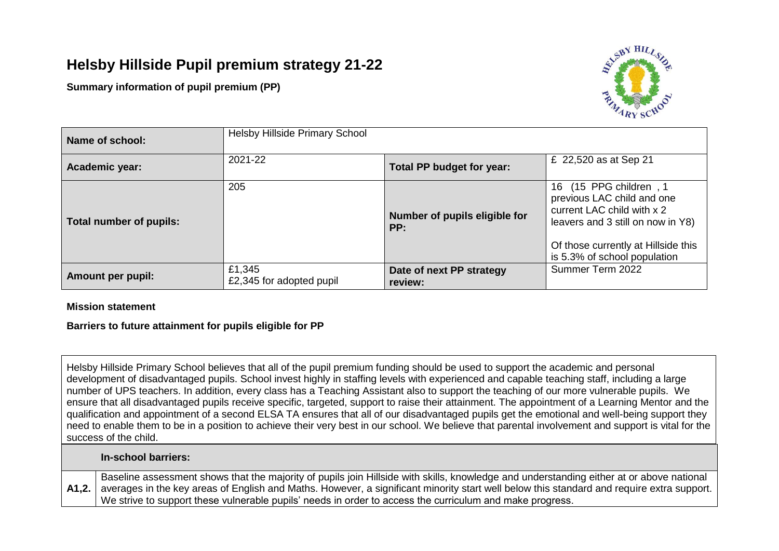# **Helsby Hillside Pupil premium strategy 21-22**

**Summary information of pupil premium (PP)**



| Name of school:          | <b>Helsby Hillside Primary School</b> |                                                    |                                                                                                                                                                                                   |  |
|--------------------------|---------------------------------------|----------------------------------------------------|---------------------------------------------------------------------------------------------------------------------------------------------------------------------------------------------------|--|
| Academic year:           | 2021-22                               | £ 22,520 as at Sep 21<br>Total PP budget for year: |                                                                                                                                                                                                   |  |
| Total number of pupils:  | 205                                   | Number of pupils eligible for<br>PP:               | (15 PPG children, 1<br>16<br>previous LAC child and one<br>current LAC child with x 2<br>leavers and 3 still on now in Y8)<br>Of those currently at Hillside this<br>is 5.3% of school population |  |
| <b>Amount per pupil:</b> | £1,345<br>£2,345 for adopted pupil    | Date of next PP strategy<br>review:                | Summer Term 2022                                                                                                                                                                                  |  |

### **Mission statement**

# **Barriers to future attainment for pupils eligible for PP**

Helsby Hillside Primary School believes that all of the pupil premium funding should be used to support the academic and personal development of disadvantaged pupils. School invest highly in staffing levels with experienced and capable teaching staff, including a large number of UPS teachers. In addition, every class has a Teaching Assistant also to support the teaching of our more vulnerable pupils. We ensure that all disadvantaged pupils receive specific, targeted, support to raise their attainment. The appointment of a Learning Mentor and the qualification and appointment of a second ELSA TA ensures that all of our disadvantaged pupils get the emotional and well-being support they need to enable them to be in a position to achieve their very best in our school. We believe that parental involvement and support is vital for the success of the child.

#### **In-school barriers:**

**A1,2.** Baseline assessment shows that the majority of pupils join Hillside with skills, knowledge and understanding either at or above national averages in the key areas of English and Maths. However, a significant minority start well below this standard and require extra support. We strive to support these vulnerable pupils' needs in order to access the curriculum and make progress.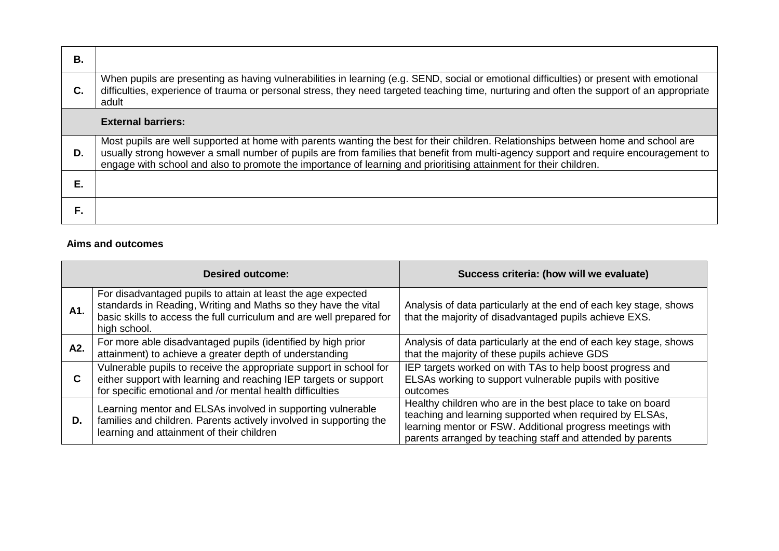| В. |                                                                                                                                                                                                                                                                                                                                                                                                  |
|----|--------------------------------------------------------------------------------------------------------------------------------------------------------------------------------------------------------------------------------------------------------------------------------------------------------------------------------------------------------------------------------------------------|
| C. | When pupils are presenting as having vulnerabilities in learning (e.g. SEND, social or emotional difficulties) or present with emotional<br>difficulties, experience of trauma or personal stress, they need targeted teaching time, nurturing and often the support of an appropriate<br>adult                                                                                                  |
|    | <b>External barriers:</b>                                                                                                                                                                                                                                                                                                                                                                        |
| D. | Most pupils are well supported at home with parents wanting the best for their children. Relationships between home and school are<br>usually strong however a small number of pupils are from families that benefit from multi-agency support and require encouragement to<br>engage with school and also to promote the importance of learning and prioritising attainment for their children. |
| Е. |                                                                                                                                                                                                                                                                                                                                                                                                  |
| F. |                                                                                                                                                                                                                                                                                                                                                                                                  |

## **Aims and outcomes**

| <b>Desired outcome:</b> |                                                                                                                                                                                                                        | Success criteria: (how will we evaluate)                                                                                                                                                                                                          |  |  |
|-------------------------|------------------------------------------------------------------------------------------------------------------------------------------------------------------------------------------------------------------------|---------------------------------------------------------------------------------------------------------------------------------------------------------------------------------------------------------------------------------------------------|--|--|
| A1.                     | For disadvantaged pupils to attain at least the age expected<br>standards in Reading, Writing and Maths so they have the vital<br>basic skills to access the full curriculum and are well prepared for<br>high school. | Analysis of data particularly at the end of each key stage, shows<br>that the majority of disadvantaged pupils achieve EXS.                                                                                                                       |  |  |
| A2.                     | For more able disadvantaged pupils (identified by high prior<br>attainment) to achieve a greater depth of understanding                                                                                                | Analysis of data particularly at the end of each key stage, shows<br>that the majority of these pupils achieve GDS                                                                                                                                |  |  |
| C.                      | Vulnerable pupils to receive the appropriate support in school for<br>either support with learning and reaching IEP targets or support<br>for specific emotional and /or mental health difficulties                    | IEP targets worked on with TAs to help boost progress and<br>ELSAs working to support vulnerable pupils with positive<br>outcomes                                                                                                                 |  |  |
| D.                      | Learning mentor and ELSAs involved in supporting vulnerable<br>families and children. Parents actively involved in supporting the<br>learning and attainment of their children                                         | Healthy children who are in the best place to take on board<br>teaching and learning supported when required by ELSAs,<br>learning mentor or FSW. Additional progress meetings with<br>parents arranged by teaching staff and attended by parents |  |  |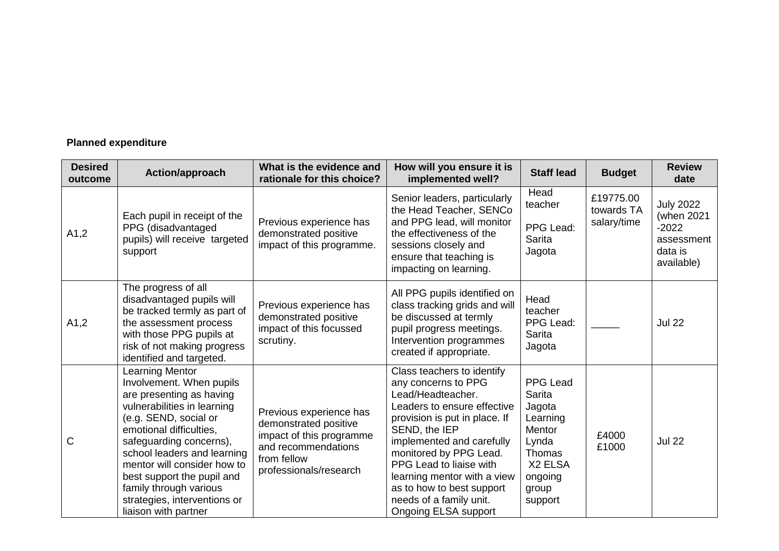# **Planned expenditure**

| <b>Desired</b><br>outcome | Action/approach                                                                                                                                                                                                                                                                                                                                                     | What is the evidence and<br>rationale for this choice?                                                                                       | How will you ensure it is<br>implemented well?                                                                                                                                                                                                                                                                                                                  | <b>Staff lead</b>                                                                                               | <b>Budget</b>                          | <b>Review</b><br>date                                                            |
|---------------------------|---------------------------------------------------------------------------------------------------------------------------------------------------------------------------------------------------------------------------------------------------------------------------------------------------------------------------------------------------------------------|----------------------------------------------------------------------------------------------------------------------------------------------|-----------------------------------------------------------------------------------------------------------------------------------------------------------------------------------------------------------------------------------------------------------------------------------------------------------------------------------------------------------------|-----------------------------------------------------------------------------------------------------------------|----------------------------------------|----------------------------------------------------------------------------------|
| A1,2                      | Each pupil in receipt of the<br>PPG (disadvantaged<br>pupils) will receive targeted<br>support                                                                                                                                                                                                                                                                      | Previous experience has<br>demonstrated positive<br>impact of this programme.                                                                | Senior leaders, particularly<br>the Head Teacher, SENCo<br>and PPG lead, will monitor<br>the effectiveness of the<br>sessions closely and<br>ensure that teaching is<br>impacting on learning.                                                                                                                                                                  | Head<br>teacher<br>PPG Lead:<br><b>Sarita</b><br>Jagota                                                         | £19775.00<br>towards TA<br>salary/time | <b>July 2022</b><br>(when 2021<br>$-2022$<br>assessment<br>data is<br>available) |
| A1,2                      | The progress of all<br>disadvantaged pupils will<br>be tracked termly as part of<br>the assessment process<br>with those PPG pupils at<br>risk of not making progress<br>identified and targeted.                                                                                                                                                                   | Previous experience has<br>demonstrated positive<br>impact of this focussed<br>scrutiny.                                                     | All PPG pupils identified on<br>class tracking grids and will<br>be discussed at termly<br>pupil progress meetings.<br>Intervention programmes<br>created if appropriate.                                                                                                                                                                                       | Head<br>teacher<br>PPG Lead:<br><b>Sarita</b><br>Jagota                                                         |                                        | <b>Jul 22</b>                                                                    |
| C                         | Learning Mentor<br>Involvement. When pupils<br>are presenting as having<br>vulnerabilities in learning<br>(e.g. SEND, social or<br>emotional difficulties,<br>safeguarding concerns),<br>school leaders and learning<br>mentor will consider how to<br>best support the pupil and<br>family through various<br>strategies, interventions or<br>liaison with partner | Previous experience has<br>demonstrated positive<br>impact of this programme<br>and recommendations<br>from fellow<br>professionals/research | Class teachers to identify<br>any concerns to PPG<br>Lead/Headteacher.<br>Leaders to ensure effective<br>provision is put in place. If<br>SEND, the IEP<br>implemented and carefully<br>monitored by PPG Lead.<br>PPG Lead to liaise with<br>learning mentor with a view<br>as to how to best support<br>needs of a family unit.<br><b>Ongoing ELSA support</b> | PPG Lead<br>Sarita<br>Jagota<br>Learning<br>Mentor<br>Lynda<br>Thomas<br>X2 ELSA<br>ongoing<br>group<br>support | £4000<br>£1000                         | <b>Jul 22</b>                                                                    |